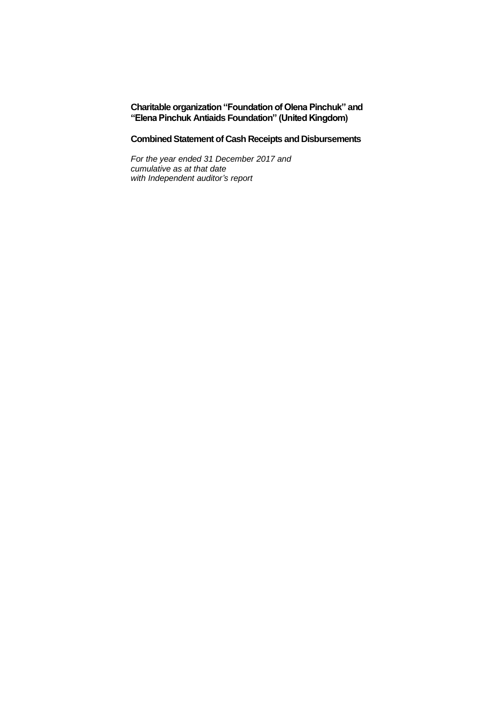### **Charitable organization "Foundation of Olena Pinchuk" and "Elena Pinchuk Antiaids Foundation" (United Kingdom)**

### **Combined Statement of Cash Receipts and Disbursements**

*For the year ended 31 December 2017 and cumulative as at that date with Independent auditor's report*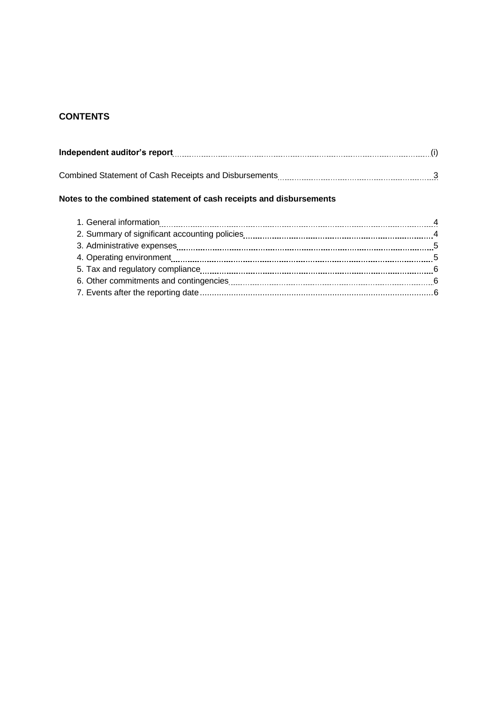# **CONTENTS**

| Independent auditor's report [11] manufactures in the set of the set of the set of the set of the set of the s |  |
|----------------------------------------------------------------------------------------------------------------|--|
|                                                                                                                |  |
|                                                                                                                |  |

# **Notes to the combined statement of cash receipts and disbursements**

| 3. Administrative expenses <b>contained a contract and all algorithm</b> and a series of the system and state of the s |  |
|------------------------------------------------------------------------------------------------------------------------|--|
|                                                                                                                        |  |
|                                                                                                                        |  |
|                                                                                                                        |  |
|                                                                                                                        |  |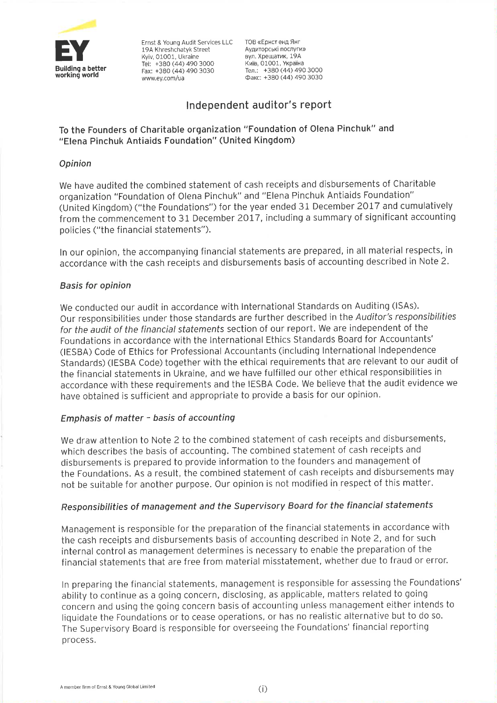

Ernst & Young Audit Services LLC 19A Khreshchatyk Street Kviv. 01001. Ukraine Tel: +380 (44) 490 3000 Fax: +380 (44) 490 3030 www.ev.com/ua

ТОВ «Ернст енд Янг Аудиторські послуги» вул. Хрешатик, 19А Київ, 01001, Україна Тел.: +380 (44) 490 3000  $\Phi$ akc: +380 (44) 490 3030

# Independent auditor's report

# To the Founders of Charitable organization "Foundation of Olena Pinchuk" and "Elena Pinchuk Antiaids Foundation" (United Kingdom)

# Opinion

We have audited the combined statement of cash receipts and disbursements of Charitable organization "Foundation of Olena Pinchuk" and "Elena Pinchuk Antiaids Foundation" (United Kingdom) ("the Foundations") for the year ended 31 December 2017 and cumulatively from the commencement to 31 December 2017, including a summary of significant accounting policies ("the financial statements").

In our opinion, the accompanying financial statements are prepared, in all material respects, in accordance with the cash receipts and disbursements basis of accounting described in Note 2.

## **Basis for opinion**

We conducted our audit in accordance with International Standards on Auditing (ISAs). Our responsibilities under those standards are further described in the Auditor's responsibilities for the audit of the financial statements section of our report. We are independent of the Foundations in accordance with the International Ethics Standards Board for Accountants' (IESBA) Code of Ethics for Professional Accountants (including International Independence Standards) (IESBA Code) together with the ethical requirements that are relevant to our audit of the financial statements in Ukraine, and we have fulfilled our other ethical responsibilities in accordance with these requirements and the IESBA Code. We believe that the audit evidence we have obtained is sufficient and appropriate to provide a basis for our opinion.

## Emphasis of matter - basis of accounting

We draw attention to Note 2 to the combined statement of cash receipts and disbursements, which describes the basis of accounting. The combined statement of cash receipts and disbursements is prepared to provide information to the founders and management of the Foundations. As a result, the combined statement of cash receipts and disbursements may not be suitable for another purpose. Our opinion is not modified in respect of this matter.

## Responsibilities of management and the Supervisory Board for the financial statements

Management is responsible for the preparation of the financial statements in accordance with the cash receipts and disbursements basis of accounting described in Note 2, and for such internal control as management determines is necessary to enable the preparation of the financial statements that are free from material misstatement, whether due to fraud or error.

In preparing the financial statements, management is responsible for assessing the Foundations' ability to continue as a going concern, disclosing, as applicable, matters related to going concern and using the going concern basis of accounting unless management either intends to liquidate the Foundations or to cease operations, or has no realistic alternative but to do so. The Supervisory Board is responsible for overseeing the Foundations' financial reporting process.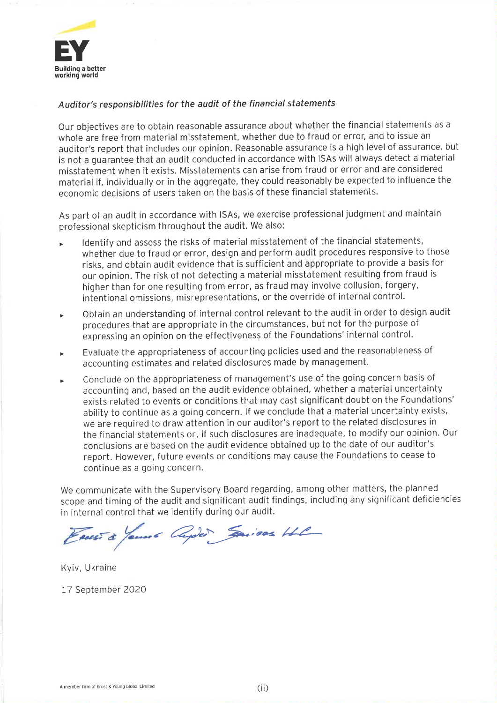

## Auditor's responsibilities for the audit of the financial statements

Our objectives are to obtain reasonable assurance about whether the financial statements as a whole are free from material misstatement, whether due to fraud or error, and to issue an auditor's report that includes our opinion. Reasonable assurance is a high level of assurance, but is not a quarantee that an audit conducted in accordance with ISAs will always detect a material misstatement when it exists. Misstatements can arise from fraud or error and are considered material if, individually or in the aggregate, they could reasonably be expected to influence the economic decisions of users taken on the basis of these financial statements.

As part of an audit in accordance with ISAs, we exercise professional judgment and maintain professional skepticism throughout the audit. We also:

- Identify and assess the risks of material misstatement of the financial statements, whether due to fraud or error, design and perform audit procedures responsive to those risks, and obtain audit evidence that is sufficient and appropriate to provide a basis for our opinion. The risk of not detecting a material misstatement resulting from fraud is higher than for one resulting from error, as fraud may involve collusion, forgery, intentional omissions, misrepresentations, or the override of internal control.
- Obtain an understanding of internal control relevant to the audit in order to design audit  $\blacktriangleright$ procedures that are appropriate in the circumstances, but not for the purpose of expressing an opinion on the effectiveness of the Foundations' internal control.
- Evaluate the appropriateness of accounting policies used and the reasonableness of  $\mathbf{r}$ accounting estimates and related disclosures made by management.
- Conclude on the appropriateness of management's use of the going concern basis of ×. accounting and, based on the audit evidence obtained, whether a material uncertainty exists related to events or conditions that may cast significant doubt on the Foundations' ability to continue as a going concern. If we conclude that a material uncertainty exists, we are required to draw attention in our auditor's report to the related disclosures in the financial statements or, if such disclosures are inadequate, to modify our opinion. Our conclusions are based on the audit evidence obtained up to the date of our auditor's report. However, future events or conditions may cause the Foundations to cease to continue as a going concern.

We communicate with the Supervisory Board regarding, among other matters, the planned scope and timing of the audit and significant audit findings, including any significant deficiencies in internal control that we identify during our audit.

Faces à James Appel Saison HL

Kyiv, Ukraine

17 September 2020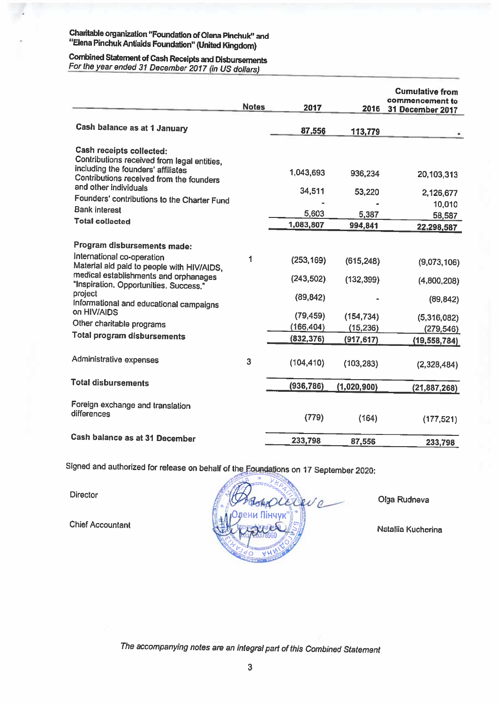# Charitable organization "Foundation of Olena Pinchuk" and "Elena Pinchuk Antiaids Foundation" (United Kingdom)

# Combined Statement of Cash Receipts and Disbursements For the year ended 31 December 2017 (in US dollars)

|                                                                                                                  | <b>Notes</b> | 2017       | 2016             | <b>Cumulative from</b><br>commencement to<br>31 December 2017 |
|------------------------------------------------------------------------------------------------------------------|--------------|------------|------------------|---------------------------------------------------------------|
| Cash balance as at 1 January                                                                                     |              | 87,556     | 113,779          |                                                               |
| Cash receipts collected:<br>Contributions received from legal entities,<br>including the founders' affiliates    |              | 1,043,693  | 936,234          | 20,103,313                                                    |
| Contributions received from the founders<br>and other individuals<br>Founders' contributions to the Charter Fund |              | 34,511     | 53,220           | 2,126,677                                                     |
| <b>Bank interest</b>                                                                                             |              | 5,603      |                  | 10,010                                                        |
| <b>Total collected</b>                                                                                           |              | 1,083,807  | 5,387<br>994,841 | 58,587                                                        |
|                                                                                                                  |              |            |                  | 22,298,587                                                    |
| Program disbursements made:                                                                                      |              |            |                  |                                                               |
| International co-operation<br>Material aid paid to people with HIV/AIDS,                                         | 1            | (253, 169) | (615, 248)       | (9,073,106)                                                   |
| medical establishments and orphanages<br>"Inspiration. Opportunities. Success."<br>project                       |              | (243, 502) | (132, 399)       | (4,800,208)                                                   |
| Informational and educational campaigns<br>on HIV/AIDS                                                           |              | (89, 842)  |                  | (89, 842)                                                     |
| Other charitable programs                                                                                        |              | (79, 459)  | (154, 734)       | (5,316,082)                                                   |
| <b>Total program disbursements</b>                                                                               |              | (166, 404) | (15, 236)        | (279, 546)                                                    |
|                                                                                                                  |              | (832, 376) | (917, 617)       | (19, 558, 784)                                                |
| Administrative expenses                                                                                          | 3            | (104, 410) | (103, 283)       | (2,328,484)                                                   |
| <b>Total disbursements</b>                                                                                       |              | (936, 786) | (1,020,900)      | (21, 887, 268)                                                |
| Foreign exchange and translation<br>differences                                                                  |              | (779)      | (164)            | (177, 521)                                                    |
| Cash balance as at 31 December                                                                                   |              | 233,798    | 87,556           | 233,798                                                       |
|                                                                                                                  |              |            |                  |                                                               |

Signed and authorized for release on behalf of the Foundations on 17 September 2020:

Director

**Chief Accountant** 



Olga Rudneva

Nataliia Kucherina

The accompanying notes are an integral part of this Combined Statement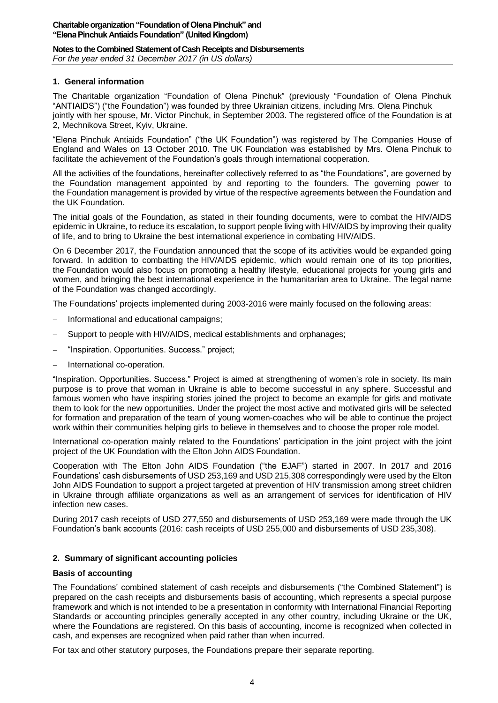### **Notes to the Combined Statement of Cash Receipts and Disbursements**

*For the year ended 31 December 2017 (in US dollars)*

### **1. General information**

The Charitable organization "Foundation of Olena Pinchuk" (previously "Foundation of Olena Pinchuk "ANTIAIDS") ("the Foundation") was founded by three Ukrainian citizens, including Mrs. Olena Pinchuk jointly with her spouse, Mr. Victor Pinchuk, in September 2003. The registered office of the Foundation is at 2, Mechnikova Street, Kyiv, Ukraine.

"Elena Pinchuk Antiaids Foundation" ("the UK Foundation") was registered by The Companies House of England and Wales on 13 October 2010. The UK Foundation was established by Mrs. Olena Pinchuk to facilitate the achievement of the Foundation's goals through international cooperation.

All the activities of the foundations, hereinafter collectively referred to as "the Foundations", are governed by the Foundation management appointed by and reporting to the founders. The governing power to the Foundation management is provided by virtue of the respective agreements between the Foundation and the UK Foundation.

The initial goals of the Foundation, as stated in their founding documents, were to combat the HIV/AIDS epidemic in Ukraine, to reduce its escalation, to support people living with HIV/AIDS by improving their quality of life, and to bring to Ukraine the best international experience in combating HIV/AIDS.

On 6 December 2017, the Foundation announced that the scope of its activities would be expanded going forward. In addition to combatting the HIV/AIDS epidemic, which would remain one of its top priorities, the Foundation would also focus on promoting a healthy lifestyle, educational projects for young girls and women, and bringing the best international experience in the humanitarian area to Ukraine. The legal name of the Foundation was changed accordingly.

The Foundations' projects implemented during 2003-2016 were mainly focused on the following areas:

- − Informational and educational campaigns;
- Support to people with HIV/AIDS, medical establishments and orphanages;
- − "Inspiration. Opportunities. Success." project;
- − International co-operation.

"Inspiration. Opportunities. Success." Project is aimed at strengthening of women's role in society. Its main purpose is to prove that woman in Ukraine is able to become successful in any sphere. Successful and famous women who have inspiring stories joined the project to become an example for girls and motivate them to look for the new opportunities. Under the project the most active and motivated girls will be selected for formation and preparation of the team of young women-coaches who will be able to continue the project work within their communities helping girls to believe in themselves and to choose the proper role model.

International co-operation mainly related to the Foundations' participation in the joint project with the joint project of the UK Foundation with the Elton John AIDS Foundation.

Cooperation with The Elton John AIDS Foundation ("the EJAF") started in 2007. In 2017 and 2016 Foundations' cash disbursements of USD 253,169 and USD 215,308 correspondingly were used by the Elton John AIDS Foundation to support a project targeted at prevention of HIV transmission among street children in Ukraine through affiliate organizations as well as an arrangement of services for identification of HIV infection new cases.

During 2017 cash receipts of USD 277,550 and disbursements of USD 253,169 were made through the UK Foundation's bank accounts (2016: cash receipts of USD 255,000 and disbursements of USD 235,308).

### **2. Summary of significant accounting policies**

### **Basis of accounting**

The Foundations' combined statement of cash receipts and disbursements ("the Combined Statement") is prepared on the cash receipts and disbursements basis of accounting, which represents a special purpose framework and which is not intended to be a presentation in conformity with International Financial Reporting Standards or accounting principles generally accepted in any other country, including Ukraine or the UK, where the Foundations are registered. On this basis of accounting, income is recognized when collected in cash, and expenses are recognized when paid rather than when incurred.

For tax and other statutory purposes, the Foundations prepare their separate reporting.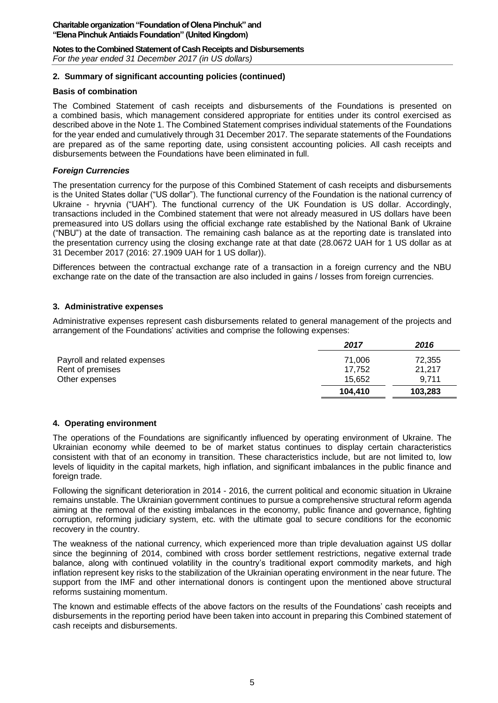# **Notes to the Combined Statement of Cash Receipts and Disbursements**

*For the year ended 31 December 2017 (in US dollars)*

## **2. Summary of significant accounting policies (continued)**

### **Basis of combination**

The Combined Statement of cash receipts and disbursements of the Foundations is presented on a combined basis, which management considered appropriate for entities under its control exercised as described above in the Note 1. The Combined Statement comprises individual statements of the Foundations for the year ended and cumulatively through 31 December 2017. The separate statements of the Foundations are prepared as of the same reporting date, using consistent accounting policies. All cash receipts and disbursements between the Foundations have been eliminated in full.

### *Foreign Currencies*

The presentation currency for the purpose of this Combined Statement of cash receipts and disbursements is the United States dollar ("US dollar"). The functional currency of the Foundation is the national currency of Ukraine - hryvnia ("UAH"). The functional currency of the UK Foundation is US dollar. Accordingly, transactions included in the Combined statement that were not already measured in US dollars have been premeasured into US dollars using the official exchange rate established by the National Bank of Ukraine ("NBU") at the date of transaction. The remaining cash balance as at the reporting date is translated into the presentation currency using the closing exchange rate at that date (28.0672 UAH for 1 US dollar as at 31 December 2017 (2016: 27.1909 UAH for 1 US dollar)).

Differences between the contractual exchange rate of a transaction in a foreign currency and the NBU exchange rate on the date of the transaction are also included in gains / losses from foreign currencies.

### **3. Administrative expenses**

Administrative expenses represent cash disbursements related to general management of the projects and arrangement of the Foundations' activities and comprise the following expenses:

|                              | 2017    | 2016    |
|------------------------------|---------|---------|
| Payroll and related expenses | 71.006  | 72,355  |
| Rent of premises             | 17.752  | 21,217  |
| Other expenses               | 15.652  | 9.711   |
|                              | 104.410 | 103,283 |

### **4. Operating environment**

The operations of the Foundations are significantly influenced by operating environment of Ukraine. The Ukrainian economy while deemed to be of market status continues to display certain characteristics consistent with that of an economy in transition. These characteristics include, but are not limited to, low levels of liquidity in the capital markets, high inflation, and significant imbalances in the public finance and foreign trade.

Following the significant deterioration in 2014 - 2016, the current political and economic situation in Ukraine remains unstable. The Ukrainian government continues to pursue a comprehensive structural reform agenda aiming at the removal of the existing imbalances in the economy, public finance and governance, fighting corruption, reforming judiciary system, etc. with the ultimate goal to secure conditions for the economic recovery in the country.

The weakness of the national currency, which experienced more than triple devaluation against US dollar since the beginning of 2014, combined with cross border settlement restrictions, negative external trade balance, along with continued volatility in the country's traditional export commodity markets, and high inflation represent key risks to the stabilization of the Ukrainian operating environment in the near future. The support from the IMF and other international donors is contingent upon the mentioned above structural reforms sustaining momentum.

The known and estimable effects of the above factors on the results of the Foundations' cash receipts and disbursements in the reporting period have been taken into account in preparing this Combined statement of cash receipts and disbursements.